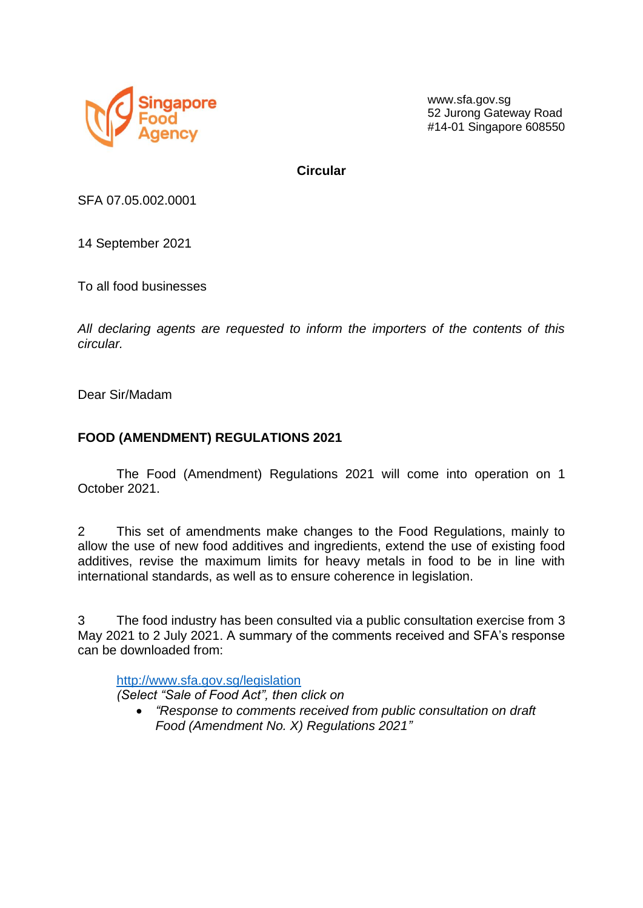

www.sfa.gov.sg 52 Jurong Gateway Road #14-01 Singapore 608550

**Circular**

SFA 07.05.002.0001

14 September 2021

To all food businesses

*All declaring agents are requested to inform the importers of the contents of this circular.*

Dear Sir/Madam

## **FOOD (AMENDMENT) REGULATIONS 2021**

The Food (Amendment) Regulations 2021 will come into operation on 1 October 2021.

2 This set of amendments make changes to the Food Regulations, mainly to allow the use of new food additives and ingredients, extend the use of existing food additives, revise the maximum limits for heavy metals in food to be in line with international standards, as well as to ensure coherence in legislation.

3 The food industry has been consulted via a public consultation exercise from 3 May 2021 to 2 July 2021. A summary of the comments received and SFA's response can be downloaded from:

http://www.sfa.gov.sg/legislation *(Select "Sale of Food Act", then click on* 

• *"Response to comments received from public consultation on draft Food (Amendment No. X) Regulations 2021"*